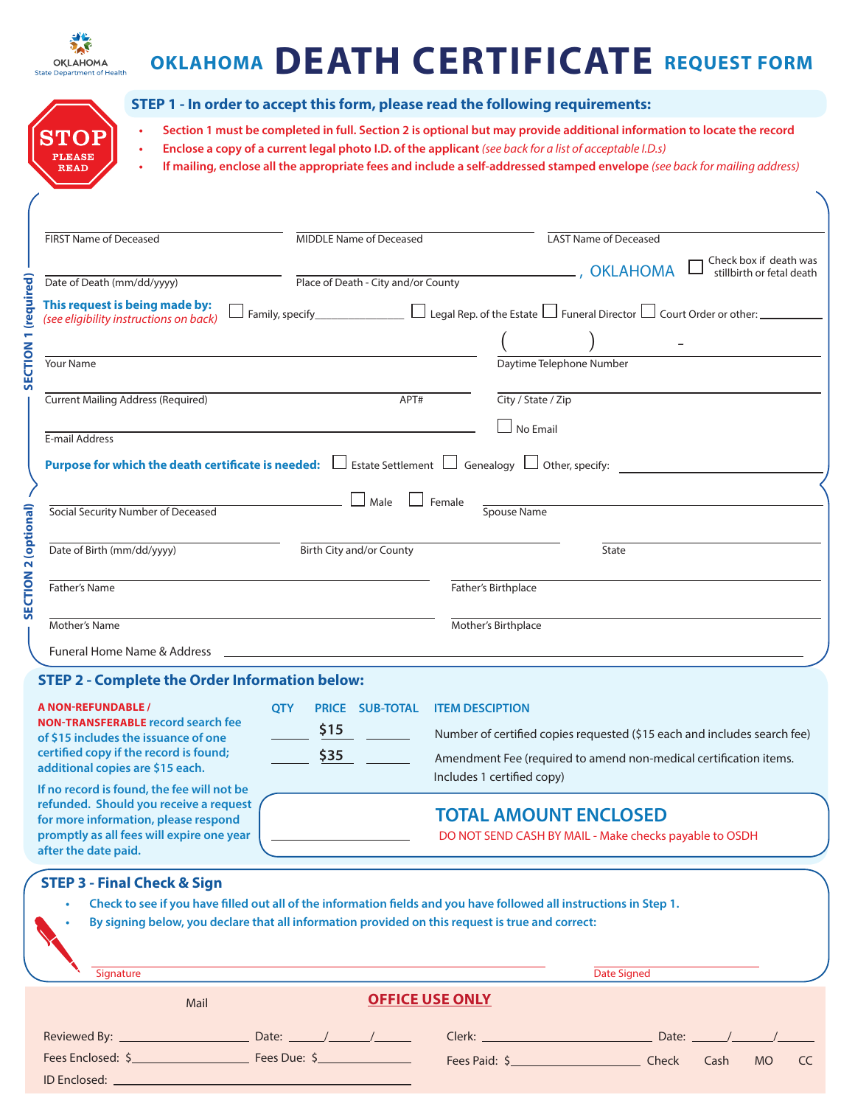

**PLEASE READ** 

# **OKLAHOMA DEATH CERTIFICATE REQUEST FORM**

- **• Section 1 must be completed in full. Section 2 is optional but may provide additional information to locate the record • Enclose a copy of a current legal photo I.D. of the applicant** *(see back for a list of acceptable I.D.s)* **• If mailing, enclose all the appropriate fees and include a self-addressed stamped envelope** *(see back for mailing address)*
- FIRST Name of Deceased **MIDDLE Name of Deceased** LAST Name of Deceased Check box if death was Place of Death - City and/or County , OKLAHOMA stillbirth or fetal death **SECTION 1 (required)**  SECTION 1 (required) Date of Death (mm/dd/yyyy) **This request is being made by:**   $\Box$  Funeral Director  $\Box$  Court Order or other: *(see eligibility instructions on back)*  $($  )  $-$ Your Name Daytime Telephone Number Current Mailing Address (Required) APT# City / State / Zip No Email E-mail Address **Purpose for which the death certificate is needed:**  $\Box$  Estate Settlement  $\Box$  Genealogy  $\Box$  Other, specify:  $\Box$  Male  $\Box$  Female **SECTION 2 (optional)**  SECTION 2 (optional) Social Security Number of Deceased Spouse Name Date of Birth (mm/dd/yyyy) Birth City and/or County State **Father's Name Father's Name Father's Name Father's Birthplace** Mother's Name Mother's Birthplace Funeral Home Name & Address

#### **STEP 2 - Complete the Order Information below:**

ID Enclosed:

| <b>A NON-REFUNDABLE /</b><br><b>NON-TRANSFERABLE record search fee</b><br>of \$15 includes the issuance of one<br>certified copy if the record is found;<br>additional copies are \$15 each.<br>If no record is found, the fee will not be<br>refunded. Should you receive a request<br>for more information, please respond                                                                     | <b>OTY</b><br><b>SUB-TOTAL</b><br><b>PRICE</b><br>\$15<br>\$35 | <b>ITEM DESCIPTION</b><br>Number of certified copies requested (\$15 each and includes search fee)<br>Amendment Fee (required to amend non-medical certification items.<br>Includes 1 certified copy)<br><b>TOTAL AMOUNT ENCLOSED</b> |
|--------------------------------------------------------------------------------------------------------------------------------------------------------------------------------------------------------------------------------------------------------------------------------------------------------------------------------------------------------------------------------------------------|----------------------------------------------------------------|---------------------------------------------------------------------------------------------------------------------------------------------------------------------------------------------------------------------------------------|
| promptly as all fees will expire one year<br>DO NOT SEND CASH BY MAIL - Make checks payable to OSDH<br>after the date paid.<br><b>STEP 3 - Final Check &amp; Sign</b><br>Check to see if you have filled out all of the information fields and you have followed all instructions in Step 1.<br>By signing below, you declare that all information provided on this request is true and correct: |                                                                |                                                                                                                                                                                                                                       |
| Signature                                                                                                                                                                                                                                                                                                                                                                                        |                                                                | Date Signed                                                                                                                                                                                                                           |
| Mail                                                                                                                                                                                                                                                                                                                                                                                             |                                                                | <b>OFFICE USE ONLY</b>                                                                                                                                                                                                                |
|                                                                                                                                                                                                                                                                                                                                                                                                  |                                                                | Date:                                                                                                                                                                                                                                 |
| Fees Enclosed: \$                                                                                                                                                                                                                                                                                                                                                                                |                                                                | Fees Paid: \$<br>Check<br>Cash<br><b>MO</b><br>CC                                                                                                                                                                                     |